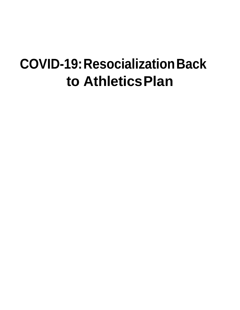# **COVID-19:ResocializationBack to AthleticsPlan**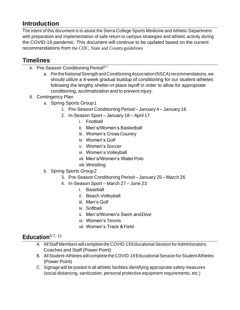### **Introduction**

The intent of this document is to assist the Sierra College Sports Medicine and Athletic Department with preparation and implementation of safe return to campus strategies and athletic activity during the COVID-19 pandemic. This document will continue to be updated based on the current recommendations from the CDC, State and Countyguidelines

# **Timelines**

- A. Pre-Season Conditioning Period<sup>4,7</sup>
	- a. PertheNationalStrength andConditioningAssociation(NSCA)recommendations, we should utilize a 4-week gradual buildup of conditioning for our student-athletes following the lengthy shelter-in-place layoff in order to allow for appropriate conditioning, acclimatization and to prevent injury.
- B. Contingency Plan
	- a. Spring Sports Group1
		- 1. Pre-Season Conditioning Period January 4 January 16
		- 2. In-Season Sport January 18 April 17
			- i. Football
			- ii. Men's/Women's Basketball
			- iii. Women's Cross Country
			- iv. Women's Golf
			- v. Women's Soccer
			- vi. Women's Volleyball
			- vii. Men's/Women's WaterPolo
			- viii.Wrestling
	- b. Spring Sports Group2
		- 3. Pre-Season Conditioning Period January 25 March 26
		- 4. In-Season Sport March 27 June 23
			- i. Baseball
			- ii. Beach Volleyball
			- iii. Men's Golf
			- iv. Softball
			- v. Men's/Women's Swim andDive
			- vi. Women's Tennis
			- vii. Women's Track &Field

#### **Education**5-7, <sup>11</sup>

- A. All Staff Members will complete the COVID-19 Educational Session for Administrators, Coaches and Staff (Power Point)
- B. All Student-Athletes will complete the COVID-19 Educational Session for Student Athletes (Power Point)
- C. Signage will be posted in all athletic facilities identifying appropriate safety measures (social distancing, sanitization, personal protective equipment requirements, etc.)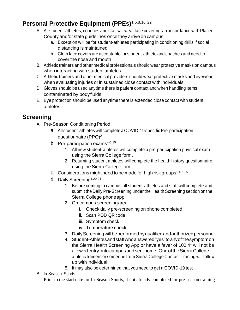# **Personal Protective Equipment (PPEs)**1,6,8,16, <sup>22</sup>

- A. All student-athletes, coaches and staff will wear face coverings in accordance with Placer County and/or state guidelines once they arrive on campus.
	- a. Exception will be for student-athletes participating in conditioning drills if social distancing is maintained
	- b. Cloth face covers are acceptable for student-athlete and coaches and need to cover the nose and mouth
- B. Athletic trainers and other medical professionals should wear protective masks on campus when interacting with student athletes.
- C. Athletic trainers and other medical providers should wear protective masks and eyewear when evaluating injuries or in sustained close contact with individuals
- D. Gloves should be used anytime there is patient contact and when handling items contaminated by bodyfluids.
- E. Eye protection should be used anytime there is extended close contact with student athletes.

#### **Screening**

- A. Pre-Season Conditioning Period
	- a. All student-athletes will complete a COVID-19 specific Pre-participation questionnaire (PPQ)<sup>2</sup>
	- b. Pre-participation exams $4-6,15$ 
		- 1. All new student-athletes will complete a pre-participation physical exam using the Sierra College form.
		- 2. Returning student athletes will complete the health history questionnaire using the Sierra College form.
	- c. Considerations might need to be made for high risk groups<sup>1,4-6,15</sup>
	- d. Daily Screening<sup>1,20-21</sup>
		- 1. Before coming to campus all student-athletes and staff will complete and submit the Daily Pre-Screening under the Health Screening section on the Sierra College phoneapp
		- 2. On campus screeningarea
			- i. Check daily pre-screening on phone completed
			- ii. Scan POD QR code
			- iii. Symptom check
			- iv. Temperature check
		- 3. DailyScreeningwillbeperformedbyqualifiedandauthorizedpersonnel
		- 4. Student-Athletesandstaffwhoanswered"yes"toanyofthesymptomon the Sierra Health Screening App or have a fever of 100.4\* will not be allowedentryontocampusandsenthome. OneoftheSierraCollege athletic trainers or someone from Sierra College Contact Tracing will follow up with individual.
		- 5. It may also be determined that you need to get a COVID-19 test
- B. In-Season Sports

Prior to the start date for In-Season Sports, if not already completed for pre-season training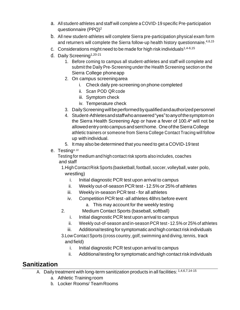- a. All student-athletes and staff will complete a COVID-19 specific Pre-participation questionnaire (PPQ)<sup>2</sup>
- b. All new student-athletes will complete Sierra pre-participation physical exam form and returners will complete the Sierra follow-up health history questionnaire.<sup>4,6,15</sup>
- c. Considerations might need to be made for high risk individuals $1,4-6,15$
- d. Daily Screening<sup>1,20-21</sup>
	- 1. Before coming to campus all student-athletes and staff will complete and submit the Daily Pre-Screening under the Health Screening section on the Sierra College phoneapp
	- 2. On campus screeningarea
		- i. Check daily pre-screening on phone completed
		- ii. Scan POD QR code
		- iii. Symptom check
		- iv. Temperature check
	- 3. DailyScreeningwillbeperformedbyqualifiedandauthorizedpersonnel
	- 4. Student-Athletesandstaffwhoanswered"yes"toanyofthesymptomon the Sierra Health Screening App or have a fever of 100.4\* will not be allowedentryontocampusandsenthome. OneoftheSierraCollege athletic trainers or someone from Sierra College Contact Tracing will follow up with individual.
	- 5. It may also be determined that you need to get a COVID-19 test
- e. Testing4, <sup>22</sup>

Testing for medium and high contact risk sports also includes, coaches and staff

1.HighContactRiskSports (basketball, football, soccer, volleyball, water polo, wrestling)

- i. Initial diagnostic PCR test upon arrival to campus
- ii. Weekly out-of-season PCR test- 12.5% or 25% of athletes
- iii. Weekly in-season PCR test for all athletes
- iv. Competition PCR test -all athletes 48hrs before event
	- a. This may account for the weekly testing
- 2. Medium Contact Sports (baseball, softball)
	- i. Initial diagnostic PCR test upon arrival to campus
	- ii. Weekly out-of-season and in-season PCR test-12.5% or 25% of athletes
	- iii. Additional testing for symptomatic and high contact risk individuals
- 3. Low Contact Sports (cross country, golf, swimming and diving, tennis, track and field)
	- i. Initial diagnostic PCR test upon arrival to campus
	- ii. Additional testing for symptomatic and high contact risk individuals

### **Sanitization**

- A. Daily treatment with long-term sanitization products in all facilities: 1,4,6,7,14-15
	- a. Athletic Training room
	- b. Locker Rooms/ TeamRooms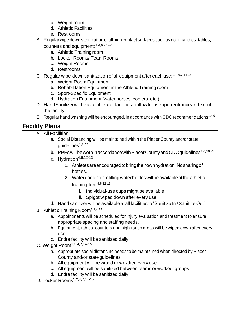- c. Weight room
- d. Athletic Facilities
- e. Restrooms
- B. Regular wipe down sanitization of all high contact surfaces such as door handles, tables, counters and equipment: 1,4,6,7,14-15
	- a. Athletic Training room
	- b. Locker Rooms/ TeamRooms
	- c. Weight Rooms
	- d. Restrooms
- C. Regular wipe-down sanitization of all equipment after each use: 1,4,6,7,14-15
	- a. Weight Room Equipment
	- b. Rehabilitation Equipment in the Athletic Training room
	- c. Sport-Specific Equipment
	- d. Hydration Equipment (water horses, coolers, etc.)
- D. HandSanitizerwillbeavailableatallfacilitiestoallowforuseuponentranceandexitof the facility
- E. Regular hand washing will be encouraged, in accordance with CDC recommendations<sup>1,4,6</sup>

### **Facility Plans**

- A. All Facilities
	- a. Social Distancing will be maintained within the Placer County and/or state quidelines $1,2,22$
	- b. PPEs will be worn in accordance with Placer County and CDC quidelines<sup>1,6,10,22</sup>
	- c. Hydration $4,6,12-13$ 
		- 1. Athletesareencouragedtobringtheirownhydration.Nosharingof bottles.
		- 2. Water cooler for refilling water bottles will be available at the athletic training tent 4,6,12-13
			- i. Individual-use cups might be available
			- ii. Spigot wiped down after every use
	- d. Hand sanitizer will be available atall facilities to "Sanitize In /Sanitize Out".
- B. Athletic Training Room<sup>1,2,4,14</sup>
	- a. Appointments will be scheduled for injury evaluation and treatment to ensure appropriate spacing and staffing needs.
	- b. Equipment, tables, counters and high-touch areas will be wiped down after every use.
	- c. Entire facility will be sanitized daily.
- C. Weight Room1,2,4,7,14-15
	- a. Appropriate social distancing needs to be maintained when directed by Placer County and/or stateguidelines
	- b. All equipment will be wiped down after every use
	- c. All equipment will be sanitized between teams or workout groups
	- d. Entire facility will be sanitized daily
- D. Locker Rooms1,2,4,7,14-15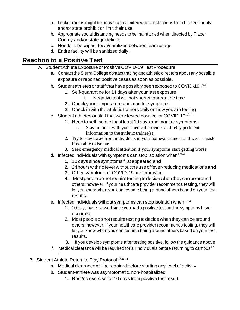- a. Locker rooms might be unavailable/limited when restrictions from Placer County and/or state prohibit or limit their use.
- b. Appropriate social distancing needs to be maintained when directed by Placer County and/or stateguidelines
- c. Needs to be wiped down/sanitized between team usage
- d. Entire facility will be sanitized daily.

# **Reaction to a Positive Test**

- A. Student Athlete Exposure or Positive COVID-19 Test Procedure
	- a. Contact the Sierra College contact tracing and athletic directors about any possible exposure or reported positive cases as soon as possible.
	- b. Student athletes or staff that have possibly been exposed to COVID-19<sup>1,3-4</sup>
		- 1. Self-quarantine for 14 days after your last exposure
			- Negative test will not shorten quarantine time
		- 2. Check your temperature and monitor symptoms
		- 3. Check in with the athletic trainers daily on how you are feeling
	- c. Student athletes or staff that were tested positive for COVID-191,2,4
		- 1. Need to self-isolate for atleast 10 days and monitor symptoms
			- i. Stay in touch with your medical provider and relay pertinent information to the athletic trainer(s).
		- 2. Try to stay away from individuals in your home/apartment and wear a mask if not able to isolate
		- 3. Seek emergency medical attention if your symptoms start getting worse
	- d. Infected individuals with symptoms can stop isolation when $1,3-4$ 
		- **1.** 10 days since symptoms first appeared **and**
		- **2.** 24hourswithnofeverwithouttheuseoffever-reducingmedications**and**
		- 3. Other symptoms of COVID-19 are improving
		- 4. Most people do not require testing to decide when they can be around others; however, if your healthcare provider recommends testing, they will let you know when you can resume being around others based on your test results.
	- e. Infected individuals without symptoms can stop isolation when  $1,3-4$ 
		- 1. 10 days have passed since you had a positive test and no symptoms have occurred
		- 2. Most people do not require testing to decide when they can be around others; however, if your healthcare provider recommends testing, they will let you know when you can resume being around others based on your test results.
		- 3. If you develop symptoms after testing positive, follow the guidance above
	- f. Medical clearance will be required for all individuals before returning to campus<sup>17-</sup> 19
- B. Student Athlete Return to Play Protocol<sup>4,6,9-11</sup>
	- a. Medical clearance will be required before starting any level of activity
	- b. Student-athlete was asymptomatic, non-hospitalized
		- 1. Rest/no exercise for 10 days from positive test result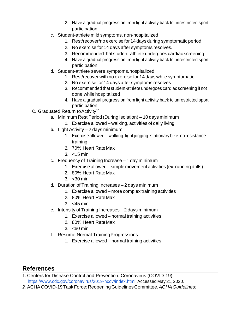- 2. Have a gradual progression from light activity back to unrestricted sport participation.
- c. Student-athlete mild symptoms, non-hospitalized
	- 1. Rest/recover/no exercise for 14 days during symptomatic period
	- 2. No exercise for 14 days after symptoms resolves.
	- 3. Recommended that student-athlete undergoes cardiac screening
	- 4. Have a gradual progression from light activity back to unrestricted sport participation
- d. Student-athlete severe symptoms,hospitalized
	- 1. Rest/recover with no exercise for 14 days while symptomatic
	- 2. No exercise for 14 days after symptoms resolves
	- 3. Recommended that student-athlete undergoes cardiac screening if not done while hospitalized
	- 4. Have a gradual progression from light activity back to unrestricted sport participation
- C. Graduated Return to Activity<sup>11</sup>
	- a. Minimum Rest Period (During Isolation) 10 days minimum
		- 1. Exercise allowed walking, activities of daily living
	- b. Light Activity 2 days minimum
		- 1. Exercise allowed walking, light jogging, stationary bike, no resistance training
		- 2. 70% Heart RateMax
		- 3. <15 min
	- c. Frequency of Training Increase 1 day minimum
		- 1. Exercise allowed simple movement activities (ex: running drills)
		- 2. 80% Heart RateMax
		- 3. <30 min
	- d. Duration of Training Increases 2 days minimum
		- 1. Exercise allowed more complex training activities
		- 2. 80% Heart RateMax
		- 3. <45 min
	- e. Intensity of Training Increases 2 days minimum
		- 1. Exercise allowed normal training activities
		- 2. 80% Heart RateMax
		- 3. <60 min
	- f. Resume Normal TrainingProgressions
		- 1. Exercise allowed normal training activities

### **References**

1. Centers for Disease Control and Prevention. Coronavirus (COVID-19). https:/[/www.cdc.gov/coronavirus/2019-ncov/index.html.A](http://www.cdc.gov/coronavirus/2019-ncov/index.html)ccessed May 21, 2020.

*2.* ACHACOVID-19TaskForce:ReopeningGuidelinesCommittee.*ACHAGuidelines:*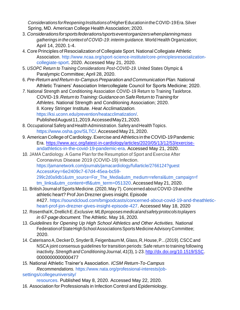*Considerations forReopeningInstitutionsofHigher*EducationintheCOVID-19Era.Silver Spring, MD. American College Health Association; 2020.

- 3. *Considerationsforsportsfederations/sportseventorganizerswhenplanningmass gatherings in the context of COVID-19: interim guidance.* World Health Organization; April 14, 2020.1-4.
- 4. Core Principles of Resocialization of Collegiate Sport. National Collegiate Athletic Association. [http://www.ncaa.org/sport-science-institute/core-principlesresocialization](http://www.ncaa.org/sport-science-institute/core-principlesresocialization-)collegiate-sport. 2020. Accessed May 21, 2020.
- 5. *USOPC Return to Training Considerations Post-COVID-19.* United States Olympic & Paralympic Committee; April 28, 2020.
- 6. *Pre-Return and Return-to-CampusPreparation and CommunicationPlan.* National Athletic Trainers' Association Intercollegiate Council for Sports Medicine; 2020.
- *7.* National Strength and Conditioning Association COVID-19 Return to Training Taskforce. COVID-19.*Return toTraining:GuidanceonSafeReturn toTrainingfor Athletes.* National Strength and Conditioning Association; 2020. 8. Korey Stringer Institute. *Heat Acclimatization.*

https://ksi.uconn.edu/prevention/heatacclimatization/. PublishedAugust11,2019.AccessedMay21,2020.

- 8. Occupational Safety and Health Administration. Safety and Health Topics. https:/[/www.osha.gov/SLTC/.A](http://www.osha.gov/SLTC/)ccessed May 21, 2020.
- 9. American College of Cardiology. Exercise and Athletics in the COVID-19 Pandemic Era. [https://www.acc.org/latest-in-cardiology/articles/2020/05/13/12/53/exercise](https://www.acc.org/latest-in-cardiology/articles/2020/05/13/12/53/exercise-)andathletics-in-the-covid-19-pandemic-era. Accessed May 21, 2020.
- 10. JAMA Cardiology. A Game Plan for the Resumption of Sport and Exercise After Coronavirus Disease 2019 (COVID-19) Infection. https://jamanetwork.com/journals/jamacardiology/fullarticle/2766124?guest AccessKey=6e2409c7-67d4-45ea-bc59- 299c2d0a9db1&utm\_source=For\_The\_Media&utm\_medium=referral&utm\_campaign=f tm\_links&utm\_content=tfl&utm\_term=051320.Accessed May 21, 2020.
- 11. British Journal of Sports Medicine. (2020, May 7). Concerned about COVID-19 and the athletic heart? Prof Jon Drezner gives insight. Episode #427. https://soundcloud.com/bmjpodcasts/concerned-about-covid-19-and-theathleticheart-prof-jon-drezner-gives-insight-episode-427. Accessed May 18, 2020
- 12. RosenthalK,DrellichE.*Exclusive:MLBproposesmedicalandsafetyprotocols toplayers in 67-page document.* The Athletic. May 16, 2020.
- 13. *Guidelines for Opening Up High School Athletics and Other Activities.* National Federation of State High School Associations Sports Medicine Advisory Committee; 2020.
- 14. Caterisano A, Decker D, Snyder B, Feigenbaum M, Glass, R, House, P...(2019). CSCC and NSCA joint consensus guidelines for transition periods: Safe return to training following inactivity.*Strength and Conditioning Journal, 41*(3), 1-23. [http://dx.doi.org/10.1519/SSC.](http://dx.doi.org/10.1519/SSC) 0000000000000477
- 15. National Athletic Trainer's Association. *ICSM Return-To-Campus Recommendations.* https:/[/www.nata.org/professional-interests/job](http://www.nata.org/professional-interests/job-)settings/collegeuniversity/

resources. Published May 8, 2020. Accessed May 22, 2020.

16. Association for Professionals in Infection Control and Epidemiology.